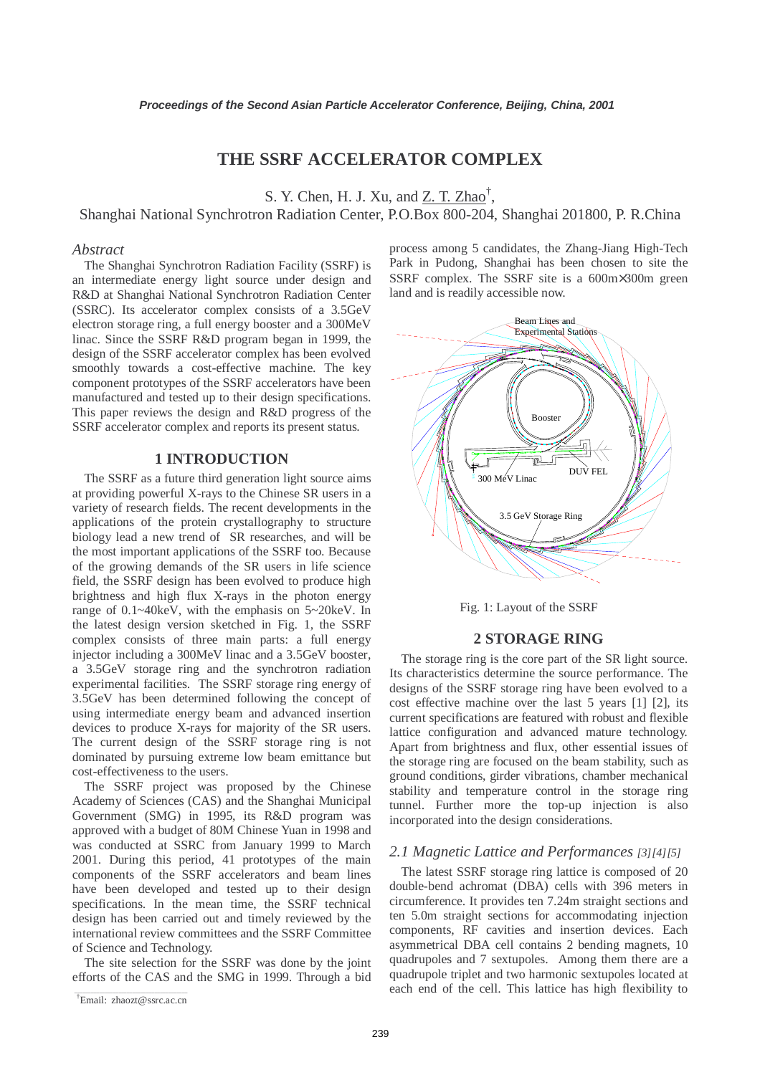# **THE SSRF ACCELERATOR COMPLEX**

S. Y. Chen, H. J. Xu, and  $\underline{Z}$ . T. Zhao<sup>†</sup>,

Shanghai National Synchrotron Radiation Center, P.O.Box 800-204, Shanghai 201800, P. R.China

#### *Abstract*

The Shanghai Synchrotron Radiation Facility (SSRF) is an intermediate energy light source under design and R&D at Shanghai National Synchrotron Radiation Center (SSRC). Its accelerator complex consists of a 3.5GeV electron storage ring, a full energy booster and a 300MeV linac. Since the SSRF R&D program began in 1999, the design of the SSRF accelerator complex has been evolved smoothly towards a cost-effective machine. The key component prototypes of the SSRF accelerators have been manufactured and tested up to their design specifications. This paper reviews the design and R&D progress of the SSRF accelerator complex and reports its present status.

## **1 INTRODUCTION**

The SSRF as a future third generation light source aims at providing powerful X-rays to the Chinese SR users in a variety of research fields. The recent developments in the applications of the protein crystallography to structure biology lead a new trend of SR researches, and will be the most important applications of the SSRF too. Because of the growing demands of the SR users in life science field, the SSRF design has been evolved to produce high brightness and high flux X-rays in the photon energy range of 0.1~40keV, with the emphasis on 5~20keV. In the latest design version sketched in Fig. 1, the SSRF complex consists of three main parts: a full energy injector including a 300MeV linac and a 3.5GeV booster, a 3.5GeV storage ring and the synchrotron radiation experimental facilities. The SSRF storage ring energy of 3.5GeV has been determined following the concept of using intermediate energy beam and advanced insertion devices to produce X-rays for majority of the SR users. The current design of the SSRF storage ring is not dominated by pursuing extreme low beam emittance but cost-effectiveness to the users.

The SSRF project was proposed by the Chinese Academy of Sciences (CAS) and the Shanghai Municipal Government (SMG) in 1995, its R&D program was approved with a budget of 80M Chinese Yuan in 1998 and was conducted at SSRC from January 1999 to March 2001. During this period, 41 prototypes of the main components of the SSRF accelerators and beam lines have been developed and tested up to their design specifications. In the mean time, the SSRF technical design has been carried out and timely reviewed by the international review committees and the SSRF Committee of Science and Technology.

The site selection for the SSRF was done by the joint efforts of the CAS and the SMG in 1999. Through a bid process among 5 candidates, the Zhang-Jiang High-Tech Park in Pudong, Shanghai has been chosen to site the SSRF complex. The SSRF site is a 600m×300m green land and is readily accessible now.



Fig. 1: Layout of the SSRF

### **2 STORAGE RING**

The storage ring is the core part of the SR light source. Its characteristics determine the source performance. The designs of the SSRF storage ring have been evolved to a cost effective machine over the last 5 years [1] [2], its current specifications are featured with robust and flexible lattice configuration and advanced mature technology. Apart from brightness and flux, other essential issues of the storage ring are focused on the beam stability, such as ground conditions, girder vibrations, chamber mechanical stability and temperature control in the storage ring tunnel. Further more the top-up injection is also incorporated into the design considerations.

#### *2.1 Magnetic Lattice and Performances [3][4][5]*

The latest SSRF storage ring lattice is composed of 20 double-bend achromat (DBA) cells with 396 meters in circumference. It provides ten 7.24m straight sections and ten 5.0m straight sections for accommodating injection components, RF cavities and insertion devices. Each asymmetrical DBA cell contains 2 bending magnets, 10 quadrupoles and 7 sextupoles. Among them there are a quadrupole triplet and two harmonic sextupoles located at each end of the cell. This lattice has high flexibility to

Email: zhaozt@ssrc.ac.cn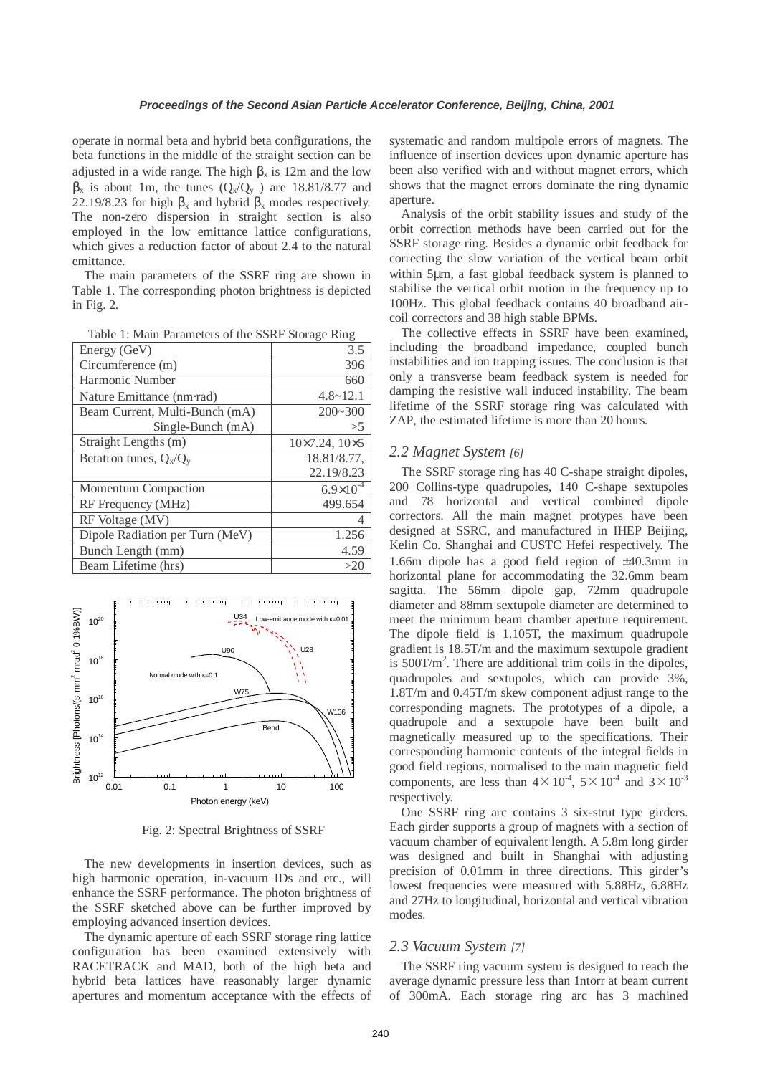operate in normal beta and hybrid beta configurations, the beta functions in the middle of the straight section can be adjusted in a wide range. The high  $\beta_x$  is 12m and the low  $\beta_x$  is about 1m, the tunes  $(Q_x/Q_y)$  are 18.81/8.77 and 22.19/8.23 for high  $\beta_x$  and hybrid  $\beta_x$  modes respectively. The non-zero dispersion in straight section is also employed in the low emittance lattice configurations, which gives a reduction factor of about 2.4 to the natural emittance.

The main parameters of the SSRF ring are shown in Table 1. The corresponding photon brightness is depicted in Fig. 2.

| Energy (GeV)                    | 3.5                          |
|---------------------------------|------------------------------|
| Circumference (m)               | 396                          |
| Harmonic Number                 | 660                          |
| Nature Emittance (nm·rad)       | $4.8 \sim 12.1$              |
| Beam Current, Multi-Bunch (mA)  | $200 - 300$                  |
| Single-Bunch $(mA)$             | $>$ 5                        |
| Straight Lengths (m)            | $10\times7.24$ , $10\times5$ |
| Betatron tunes, $Q_x/Q_y$       | 18.81/8.77,                  |
|                                 | 22.19/8.23                   |
| Momentum Compaction             | $6.9 \times 10^{-4}$         |
| RF Frequency (MHz)              | 499.654                      |
| RF Voltage (MV)                 |                              |
| Dipole Radiation per Turn (MeV) | 1.256                        |
| Bunch Length (mm)               | 4.59                         |
| Beam Lifetime (hrs)             | >20                          |

Table 1: Main Parameters of the SSRF Storage Ring



Fig. 2: Spectral Brightness of SSRF

The new developments in insertion devices, such as high harmonic operation, in-vacuum IDs and etc., will enhance the SSRF performance. The photon brightness of the SSRF sketched above can be further improved by employing advanced insertion devices.

The dynamic aperture of each SSRF storage ring lattice configuration has been examined extensively with RACETRACK and MAD, both of the high beta and hybrid beta lattices have reasonably larger dynamic apertures and momentum acceptance with the effects of

systematic and random multipole errors of magnets. The influence of insertion devices upon dynamic aperture has been also verified with and without magnet errors, which shows that the magnet errors dominate the ring dynamic aperture.

Analysis of the orbit stability issues and study of the orbit correction methods have been carried out for the SSRF storage ring. Besides a dynamic orbit feedback for correcting the slow variation of the vertical beam orbit within 5µm, a fast global feedback system is planned to stabilise the vertical orbit motion in the frequency up to 100Hz. This global feedback contains 40 broadband aircoil correctors and 38 high stable BPMs.

The collective effects in SSRF have been examined, including the broadband impedance, coupled bunch instabilities and ion trapping issues. The conclusion is that only a transverse beam feedback system is needed for damping the resistive wall induced instability. The beam lifetime of the SSRF storage ring was calculated with ZAP, the estimated lifetime is more than 20 hours.

### *2.2 Magnet System [6]*

The SSRF storage ring has 40 C-shape straight dipoles, 200 Collins-type quadrupoles, 140 C-shape sextupoles and 78 horizontal and vertical combined dipole correctors. All the main magnet protypes have been designed at SSRC, and manufactured in IHEP Beijing, Kelin Co. Shanghai and CUSTC Hefei respectively. The 1.66m dipole has a good field region of ±40.3mm in horizontal plane for accommodating the 32.6mm beam sagitta. The 56mm dipole gap, 72mm quadrupole diameter and 88mm sextupole diameter are determined to meet the minimum beam chamber aperture requirement. The dipole field is 1.105T, the maximum quadrupole gradient is 18.5T/m and the maximum sextupole gradient is  $500$ T/m<sup>2</sup>. There are additional trim coils in the dipoles, quadrupoles and sextupoles, which can provide 3%, 1.8T/m and 0.45T/m skew component adjust range to the corresponding magnets. The prototypes of a dipole, a quadrupole and a sextupole have been built and magnetically measured up to the specifications. Their corresponding harmonic contents of the integral fields in good field regions, normalised to the main magnetic field components, are less than  $4 \times 10^{-4}$ ,  $5 \times 10^{-4}$  and  $3 \times 10^{-3}$ respectively.

One SSRF ring arc contains 3 six-strut type girders. Each girder supports a group of magnets with a section of vacuum chamber of equivalent length. A 5.8m long girder was designed and built in Shanghai with adjusting precision of 0.01mm in three directions. This girder's lowest frequencies were measured with 5.88Hz, 6.88Hz and 27Hz to longitudinal, horizontal and vertical vibration modes.

#### *2.3 Vacuum System [7]*

The SSRF ring vacuum system is designed to reach the average dynamic pressure less than 1ntorr at beam current of 300mA. Each storage ring arc has 3 machined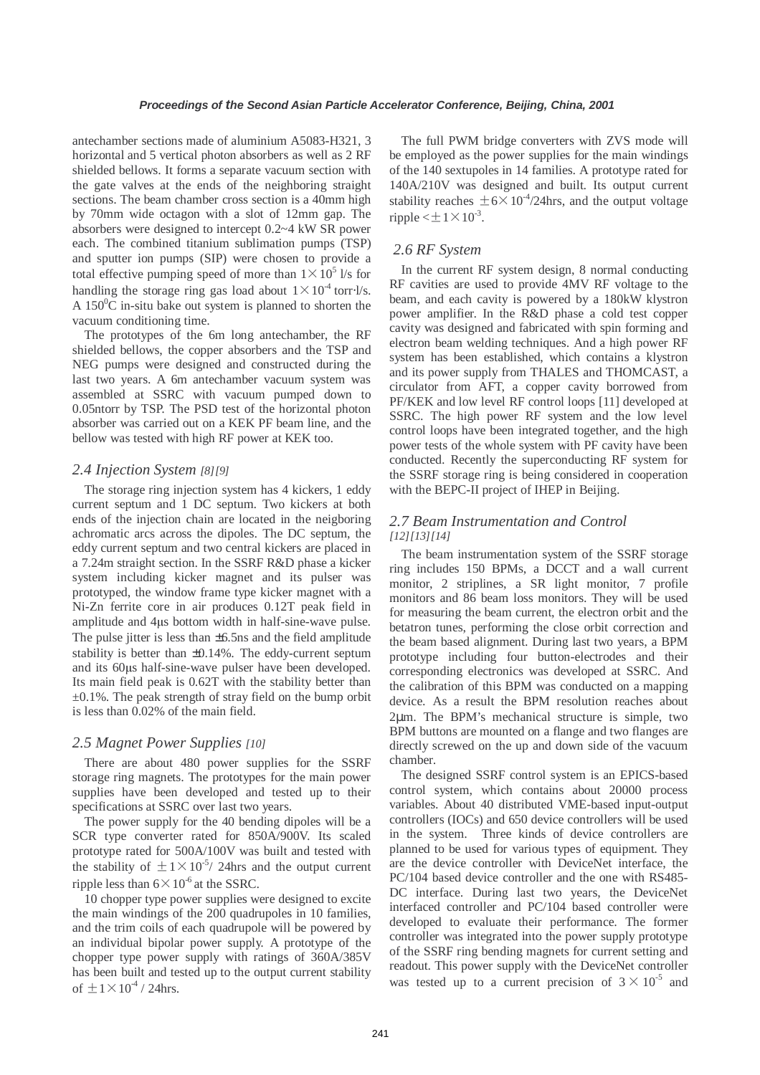antechamber sections made of aluminium A5083-H321, 3 horizontal and 5 vertical photon absorbers as well as 2 RF shielded bellows. It forms a separate vacuum section with the gate valves at the ends of the neighboring straight sections. The beam chamber cross section is a 40mm high by 70mm wide octagon with a slot of 12mm gap. The absorbers were designed to intercept 0.2~4 kW SR power each. The combined titanium sublimation pumps (TSP) and sputter ion pumps (SIP) were chosen to provide a total effective pumping speed of more than  $1 \times 10^5$  l/s for handling the storage ring gas load about  $1 \times 10^4$  torr⋅l/s. A  $150^{\circ}$ C in-situ bake out system is planned to shorten the vacuum conditioning time.

The prototypes of the 6m long antechamber, the RF shielded bellows, the copper absorbers and the TSP and NEG pumps were designed and constructed during the last two years. A 6m antechamber vacuum system was assembled at SSRC with vacuum pumped down to 0.05ntorr by TSP. The PSD test of the horizontal photon absorber was carried out on a KEK PF beam line, and the bellow was tested with high RF power at KEK too.

### *2.4 Injection System [8][9]*

The storage ring injection system has 4 kickers, 1 eddy current septum and 1 DC septum. Two kickers at both ends of the injection chain are located in the neigboring achromatic arcs across the dipoles. The DC septum, the eddy current septum and two central kickers are placed in a 7.24m straight section. In the SSRF R&D phase a kicker system including kicker magnet and its pulser was prototyped, the window frame type kicker magnet with a Ni-Zn ferrite core in air produces 0.12T peak field in amplitude and 4µs bottom width in half-sine-wave pulse. The pulse jitter is less than  $\pm 6.5$ ns and the field amplitude stability is better than ±0.14%. The eddy-current septum and its 60µs half-sine-wave pulser have been developed. Its main field peak is 0.62T with the stability better than  $\pm 0.1\%$ . The peak strength of stray field on the bump orbit is less than 0.02% of the main field.

### *2.5 Magnet Power Supplies [10]*

There are about 480 power supplies for the SSRF storage ring magnets. The prototypes for the main power supplies have been developed and tested up to their specifications at SSRC over last two years.

The power supply for the 40 bending dipoles will be a SCR type converter rated for 850A/900V. Its scaled prototype rated for 500A/100V was built and tested with the stability of  $\pm 1 \times 10^{-5}$ / 24hrs and the output current ripple less than  $6 \times 10^{-6}$  at the SSRC.

10 chopper type power supplies were designed to excite the main windings of the 200 quadrupoles in 10 families, and the trim coils of each quadrupole will be powered by an individual bipolar power supply. A prototype of the chopper type power supply with ratings of 360A/385V has been built and tested up to the output current stability of  $\pm$ 1 $\times$ 10<sup>-4</sup> / 24hrs.

The full PWM bridge converters with ZVS mode will be employed as the power supplies for the main windings of the 140 sextupoles in 14 families. A prototype rated for 140A/210V was designed and built. Its output current stability reaches  $\pm 6 \times 10^{-4}$ /24hrs, and the output voltage ripple  $<\pm 1\times 10^{-3}$ .

# *2.6 RF System*

In the current RF system design, 8 normal conducting RF cavities are used to provide 4MV RF voltage to the beam, and each cavity is powered by a 180kW klystron power amplifier. In the R&D phase a cold test copper cavity was designed and fabricated with spin forming and electron beam welding techniques. And a high power RF system has been established, which contains a klystron and its power supply from THALES and THOMCAST, a circulator from AFT, a copper cavity borrowed from PF/KEK and low level RF control loops [11] developed at SSRC. The high power RF system and the low level control loops have been integrated together, and the high power tests of the whole system with PF cavity have been conducted. Recently the superconducting RF system for the SSRF storage ring is being considered in cooperation with the BEPC-II project of IHEP in Beijing.

## *2.7 Beam Instrumentation and Control [12][13][14]*

The beam instrumentation system of the SSRF storage ring includes 150 BPMs, a DCCT and a wall current monitor, 2 striplines, a SR light monitor, 7 profile monitors and 86 beam loss monitors. They will be used for measuring the beam current, the electron orbit and the betatron tunes, performing the close orbit correction and the beam based alignment. During last two years, a BPM prototype including four button-electrodes and their corresponding electronics was developed at SSRC. And the calibration of this BPM was conducted on a mapping device. As a result the BPM resolution reaches about 2µm. The BPM's mechanical structure is simple, two BPM buttons are mounted on a flange and two flanges are directly screwed on the up and down side of the vacuum chamber.

The designed SSRF control system is an EPICS-based control system, which contains about 20000 process variables. About 40 distributed VME-based input-output controllers (IOCs) and 650 device controllers will be used in the system. Three kinds of device controllers are planned to be used for various types of equipment. They are the device controller with DeviceNet interface, the PC/104 based device controller and the one with RS485- DC interface. During last two years, the DeviceNet interfaced controller and PC/104 based controller were developed to evaluate their performance. The former controller was integrated into the power supply prototype of the SSRF ring bending magnets for current setting and readout. This power supply with the DeviceNet controller was tested up to a current precision of  $3 \times 10^{-5}$  and